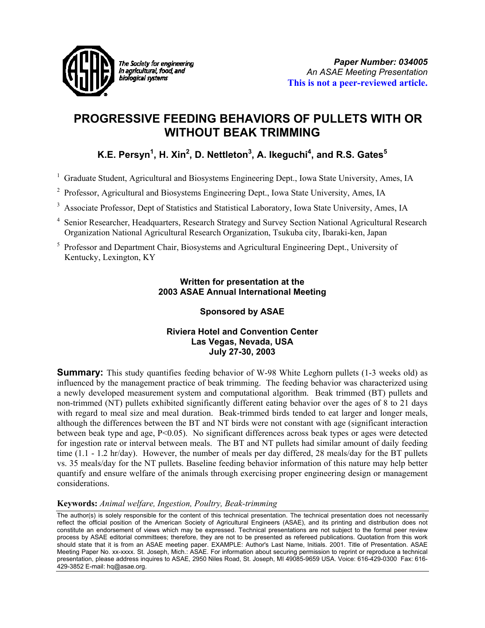

The Society for engineering in agricultural, food, and biological systems

# **PROGRESSIVE FEEDING BEHAVIORS OF PULLETS WITH OR WITHOUT BEAK TRIMMING**

# **K.E. Persyn** $^1$ **, H. Xin** $^2$ **, D. Nettleton** $^3$ **, A. Ikeguchi** $^4$ **, and R.S. Gates** $^5$

<sup>1</sup> Graduate Student, Agricultural and Biosystems Engineering Dept., Iowa State University, Ames, IA

- 2 Professor, Agricultural and Biosystems Engineering Dept., Iowa State University, Ames, IA
- <sup>3</sup> Associate Professor, Dept of Statistics and Statistical Laboratory, Iowa State University, Ames, IA
- <sup>4</sup> Senior Researcher, Headquarters, Research Strategy and Survey Section National Agricultural Research Organization National Agricultural Research Organization, Tsukuba city, Ibaraki-ken, Japan
- <sup>5</sup> Professor and Department Chair, Biosystems and Agricultural Engineering Dept., University of Kentucky, Lexington, KY

## **Written for presentation at the 2003 ASAE Annual International Meeting**

## **Sponsored by ASAE**

## **Riviera Hotel and Convention Center Las Vegas, Nevada, USA July 27-30, 2003**

**Summary:** This study quantifies feeding behavior of W-98 White Leghorn pullets (1-3 weeks old) as influenced by the management practice of beak trimming. The feeding behavior was characterized using a newly developed measurement system and computational algorithm. Beak trimmed (BT) pullets and non-trimmed (NT) pullets exhibited significantly different eating behavior over the ages of 8 to 21 days with regard to meal size and meal duration. Beak-trimmed birds tended to eat larger and longer meals, although the differences between the BT and NT birds were not constant with age (significant interaction between beak type and age, P<0.05). No significant differences across beak types or ages were detected for ingestion rate or interval between meals. The BT and NT pullets had similar amount of daily feeding time (1.1 - 1.2 hr/day). However, the number of meals per day differed, 28 meals/day for the BT pullets vs. 35 meals/day for the NT pullets. Baseline feeding behavior information of this nature may help better quantify and ensure welfare of the animals through exercising proper engineering design or management considerations.

## **Keywords:** *Animal welfare, Ingestion, Poultry, Beak-trimming*

The author(s) is solely responsible for the content of this technical presentation. The technical presentation does not necessarily reflect the official position of the American Society of Agricultural Engineers (ASAE), and its printing and distribution does not constitute an endorsement of views which may be expressed. Technical presentations are not subject to the formal peer review process by ASAE editorial committees; therefore, they are not to be presented as refereed publications. Quotation from this work should state that it is from an ASAE meeting paper. EXAMPLE: Author's Last Name, Initials. 2001. Title of Presentation. ASAE Meeting Paper No. xx-xxxx. St. Joseph, Mich.: ASAE. For information about securing permission to reprint or reproduce a technical presentation, please address inquires to ASAE, 2950 Niles Road, St. Joseph, MI 49085-9659 USA. Voice: 616-429-0300 Fax: 616- 429-3852 E-mail: hq@asae.org.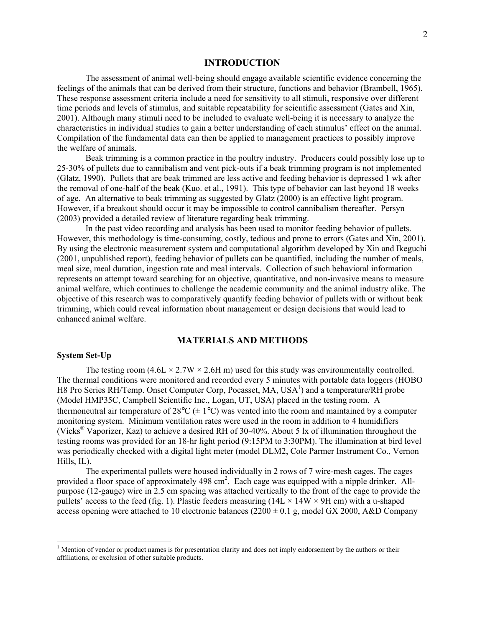#### **INTRODUCTION**

The assessment of animal well-being should engage available scientific evidence concerning the feelings of the animals that can be derived from their structure, functions and behavior (Brambell, 1965). These response assessment criteria include a need for sensitivity to all stimuli, responsive over different time periods and levels of stimulus, and suitable repeatability for scientific assessment (Gates and Xin, 2001). Although many stimuli need to be included to evaluate well-being it is necessary to analyze the characteristics in individual studies to gain a better understanding of each stimulus' effect on the animal. Compilation of the fundamental data can then be applied to management practices to possibly improve the welfare of animals.

Beak trimming is a common practice in the poultry industry. Producers could possibly lose up to 25-30% of pullets due to cannibalism and vent pick-outs if a beak trimming program is not implemented (Glatz, 1990). Pullets that are beak trimmed are less active and feeding behavior is depressed 1 wk after the removal of one-half of the beak (Kuo. et al., 1991). This type of behavior can last beyond 18 weeks of age. An alternative to beak trimming as suggested by Glatz (2000) is an effective light program. However, if a breakout should occur it may be impossible to control cannibalism thereafter. Persyn (2003) provided a detailed review of literature regarding beak trimming.

In the past video recording and analysis has been used to monitor feeding behavior of pullets. However, this methodology is time-consuming, costly, tedious and prone to errors (Gates and Xin, 2001). By using the electronic measurement system and computational algorithm developed by Xin and Ikeguchi (2001, unpublished report), feeding behavior of pullets can be quantified, including the number of meals, meal size, meal duration, ingestion rate and meal intervals. Collection of such behavioral information represents an attempt toward searching for an objective, quantitative, and non-invasive means to measure animal welfare, which continues to challenge the academic community and the animal industry alike. The objective of this research was to comparatively quantify feeding behavior of pullets with or without beak trimming, which could reveal information about management or design decisions that would lead to enhanced animal welfare.

### **MATERIALS AND METHODS**

#### **System Set-Up**

 $\overline{a}$ 

The testing room  $(4.6L \times 2.7W \times 2.6H \text{ m})$  used for this study was environmentally controlled. The thermal conditions were monitored and recorded every 5 minutes with portable data loggers (HOBO H8 Pro Series RH/Temp. Onset Computer Corp, Pocasset, MA, USA<sup>1</sup>) and a temperature/RH probe (Model HMP35C, Campbell Scientific Inc., Logan, UT, USA) placed in the testing room. A thermoneutral air temperature of  $28^{\circ}C \left( \pm 1^{\circ}C \right)$  was vented into the room and maintained by a computer monitoring system. Minimum ventilation rates were used in the room in addition to 4 humidifiers (Vicks® Vaporizer, Kaz) to achieve a desired RH of 30-40%. About 5 lx of illumination throughout the testing rooms was provided for an 18-hr light period (9:15PM to 3:30PM). The illumination at bird level was periodically checked with a digital light meter (model DLM2, Cole Parmer Instrument Co., Vernon Hills, IL).

The experimental pullets were housed individually in 2 rows of 7 wire-mesh cages. The cages provided a floor space of approximately 498 cm<sup>2</sup>. Each cage was equipped with a nipple drinker. Allpurpose (12-gauge) wire in 2.5 cm spacing was attached vertically to the front of the cage to provide the pullets' access to the feed (fig. 1). Plastic feeders measuring  $(14L \times 14W \times 9H \text{ cm})$  with a u-shaped access opening were attached to 10 electronic balances ( $2200 \pm 0.1$  g, model GX 2000, A&D Company

<sup>&</sup>lt;sup>1</sup> Mention of vendor or product names is for presentation clarity and does not imply endorsement by the authors or their affiliations, or exclusion of other suitable products.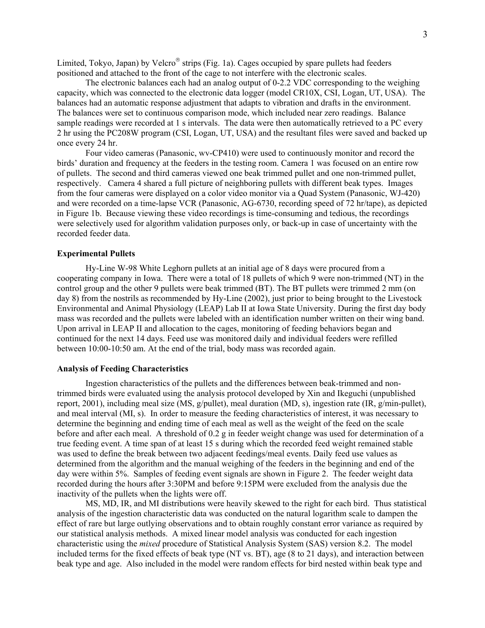Limited, Tokyo, Japan) by Velcro<sup>®</sup> strips (Fig. 1a). Cages occupied by spare pullets had feeders positioned and attached to the front of the cage to not interfere with the electronic scales.

The electronic balances each had an analog output of 0-2.2 VDC corresponding to the weighing capacity, which was connected to the electronic data logger (model CR10X, CSI, Logan, UT, USA). The balances had an automatic response adjustment that adapts to vibration and drafts in the environment. The balances were set to continuous comparison mode, which included near zero readings. Balance sample readings were recorded at 1 s intervals. The data were then automatically retrieved to a PC every 2 hr using the PC208W program (CSI, Logan, UT, USA) and the resultant files were saved and backed up once every 24 hr.

Four video cameras (Panasonic, wv-CP410) were used to continuously monitor and record the birds' duration and frequency at the feeders in the testing room. Camera 1 was focused on an entire row of pullets. The second and third cameras viewed one beak trimmed pullet and one non-trimmed pullet, respectively. Camera 4 shared a full picture of neighboring pullets with different beak types. Images from the four cameras were displayed on a color video monitor via a Quad System (Panasonic, WJ-420) and were recorded on a time-lapse VCR (Panasonic, AG-6730, recording speed of 72 hr/tape), as depicted in Figure 1b. Because viewing these video recordings is time-consuming and tedious, the recordings were selectively used for algorithm validation purposes only, or back-up in case of uncertainty with the recorded feeder data.

#### **Experimental Pullets**

Hy-Line W-98 White Leghorn pullets at an initial age of 8 days were procured from a cooperating company in Iowa. There were a total of 18 pullets of which 9 were non-trimmed (NT) in the control group and the other 9 pullets were beak trimmed (BT). The BT pullets were trimmed 2 mm (on day 8) from the nostrils as recommended by Hy-Line (2002), just prior to being brought to the Livestock Environmental and Animal Physiology (LEAP) Lab II at Iowa State University. During the first day body mass was recorded and the pullets were labeled with an identification number written on their wing band. Upon arrival in LEAP II and allocation to the cages, monitoring of feeding behaviors began and continued for the next 14 days. Feed use was monitored daily and individual feeders were refilled between 10:00-10:50 am. At the end of the trial, body mass was recorded again.

#### **Analysis of Feeding Characteristics**

Ingestion characteristics of the pullets and the differences between beak-trimmed and nontrimmed birds were evaluated using the analysis protocol developed by Xin and Ikeguchi (unpublished report, 2001), including meal size (MS, g/pullet), meal duration (MD, s), ingestion rate (IR, g/min-pullet), and meal interval (MI, s). In order to measure the feeding characteristics of interest, it was necessary to determine the beginning and ending time of each meal as well as the weight of the feed on the scale before and after each meal. A threshold of 0.2 g in feeder weight change was used for determination of a true feeding event. A time span of at least 15 s during which the recorded feed weight remained stable was used to define the break between two adjacent feedings/meal events. Daily feed use values as determined from the algorithm and the manual weighing of the feeders in the beginning and end of the day were within 5%. Samples of feeding event signals are shown in Figure 2. The feeder weight data recorded during the hours after 3:30PM and before 9:15PM were excluded from the analysis due the inactivity of the pullets when the lights were off.

MS, MD, IR, and MI distributions were heavily skewed to the right for each bird. Thus statistical analysis of the ingestion characteristic data was conducted on the natural logarithm scale to dampen the effect of rare but large outlying observations and to obtain roughly constant error variance as required by our statistical analysis methods. A mixed linear model analysis was conducted for each ingestion characteristic using the *mixed* procedure of Statistical Analysis System (SAS) version 8.2. The model included terms for the fixed effects of beak type (NT vs. BT), age (8 to 21 days), and interaction between beak type and age. Also included in the model were random effects for bird nested within beak type and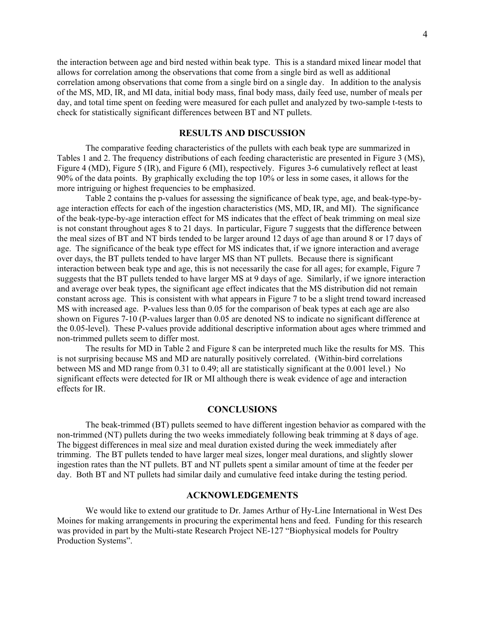the interaction between age and bird nested within beak type. This is a standard mixed linear model that allows for correlation among the observations that come from a single bird as well as additional correlation among observations that come from a single bird on a single day. In addition to the analysis of the MS, MD, IR, and MI data, initial body mass, final body mass, daily feed use, number of meals per day, and total time spent on feeding were measured for each pullet and analyzed by two-sample t-tests to check for statistically significant differences between BT and NT pullets.

#### **RESULTS AND DISCUSSION**

The comparative feeding characteristics of the pullets with each beak type are summarized in Tables 1 and 2. The frequency distributions of each feeding characteristic are presented in Figure 3 (MS), Figure 4 (MD), Figure 5 (IR), and Figure 6 (MI), respectively. Figures 3-6 cumulatively reflect at least 90% of the data points. By graphically excluding the top 10% or less in some cases, it allows for the more intriguing or highest frequencies to be emphasized.

Table 2 contains the p-values for assessing the significance of beak type, age, and beak-type-byage interaction effects for each of the ingestion characteristics (MS, MD, IR, and MI). The significance of the beak-type-by-age interaction effect for MS indicates that the effect of beak trimming on meal size is not constant throughout ages 8 to 21 days. In particular, Figure 7 suggests that the difference between the meal sizes of BT and NT birds tended to be larger around 12 days of age than around 8 or 17 days of age. The significance of the beak type effect for MS indicates that, if we ignore interaction and average over days, the BT pullets tended to have larger MS than NT pullets. Because there is significant interaction between beak type and age, this is not necessarily the case for all ages; for example, Figure 7 suggests that the BT pullets tended to have larger MS at 9 days of age. Similarly, if we ignore interaction and average over beak types, the significant age effect indicates that the MS distribution did not remain constant across age. This is consistent with what appears in Figure 7 to be a slight trend toward increased MS with increased age. P-values less than 0.05 for the comparison of beak types at each age are also shown on Figures 7-10 (P-values larger than 0.05 are denoted NS to indicate no significant difference at the 0.05-level). These P-values provide additional descriptive information about ages where trimmed and non-trimmed pullets seem to differ most.

The results for MD in Table 2 and Figure 8 can be interpreted much like the results for MS. This is not surprising because MS and MD are naturally positively correlated. (Within-bird correlations between MS and MD range from 0.31 to 0.49; all are statistically significant at the 0.001 level.) No significant effects were detected for IR or MI although there is weak evidence of age and interaction effects for IR.

#### **CONCLUSIONS**

The beak-trimmed (BT) pullets seemed to have different ingestion behavior as compared with the non-trimmed (NT) pullets during the two weeks immediately following beak trimming at 8 days of age. The biggest differences in meal size and meal duration existed during the week immediately after trimming. The BT pullets tended to have larger meal sizes, longer meal durations, and slightly slower ingestion rates than the NT pullets. BT and NT pullets spent a similar amount of time at the feeder per day. Both BT and NT pullets had similar daily and cumulative feed intake during the testing period.

#### **ACKNOWLEDGEMENTS**

We would like to extend our gratitude to Dr. James Arthur of Hy-Line International in West Des Moines for making arrangements in procuring the experimental hens and feed. Funding for this research was provided in part by the Multi-state Research Project NE-127 "Biophysical models for Poultry Production Systems".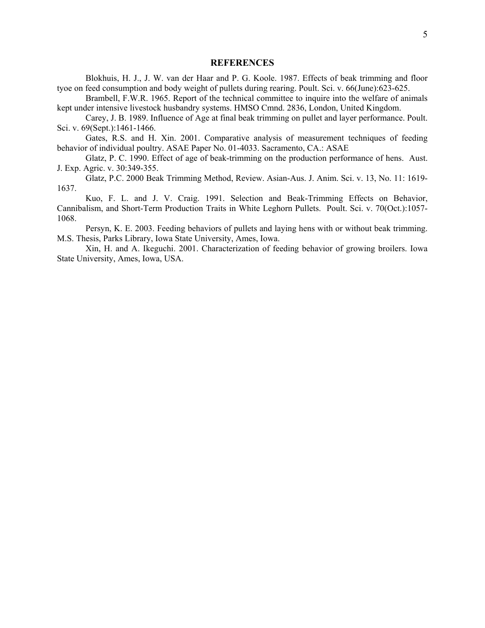#### **REFERENCES**

Blokhuis, H. J., J. W. van der Haar and P. G. Koole. 1987. Effects of beak trimming and floor tyoe on feed consumption and body weight of pullets during rearing. Poult. Sci. v. 66(June):623-625.

Brambell, F.W.R. 1965. Report of the technical committee to inquire into the welfare of animals kept under intensive livestock husbandry systems. HMSO Cmnd. 2836, London, United Kingdom.

Carey, J. B. 1989. Influence of Age at final beak trimming on pullet and layer performance. Poult. Sci. v. 69(Sept.):1461-1466.

Gates, R.S. and H. Xin. 2001. Comparative analysis of measurement techniques of feeding behavior of individual poultry. ASAE Paper No. 01-4033. Sacramento, CA.: ASAE

Glatz, P. C. 1990. Effect of age of beak-trimming on the production performance of hens. Aust. J. Exp. Agric. v. 30:349-355.

Glatz, P.C. 2000 Beak Trimming Method, Review. Asian-Aus. J. Anim. Sci. v. 13, No. 11: 1619- 1637.

Kuo, F. L. and J. V. Craig. 1991. Selection and Beak-Trimming Effects on Behavior, Cannibalism, and Short-Term Production Traits in White Leghorn Pullets. Poult. Sci. v. 70(Oct.):1057- 1068.

Persyn, K. E. 2003. Feeding behaviors of pullets and laying hens with or without beak trimming. M.S. Thesis, Parks Library, Iowa State University, Ames, Iowa.

Xin, H. and A. Ikeguchi. 2001. Characterization of feeding behavior of growing broilers. Iowa State University, Ames, Iowa, USA.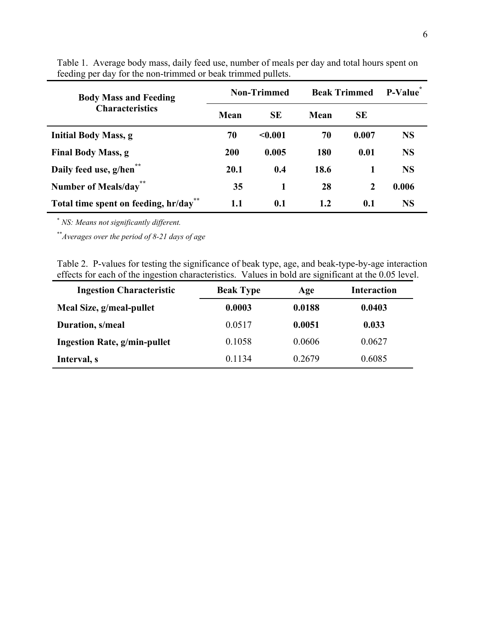| <b>Body Mass and Feeding</b><br><b>Characteristics</b> | <b>Non-Trimmed</b> |           | <b>Beak Trimmed</b> |              | P-Value   |
|--------------------------------------------------------|--------------------|-----------|---------------------|--------------|-----------|
|                                                        | Mean               | <b>SE</b> | Mean                | <b>SE</b>    |           |
| <b>Initial Body Mass, g</b>                            | 70                 | < 0.001   | 70                  | 0.007        | <b>NS</b> |
| <b>Final Body Mass, g</b>                              | 200                | 0.005     | 180                 | 0.01         | <b>NS</b> |
| Daily feed use, g/hen <sup>*</sup>                     | 20.1               | 0.4       | 18.6                |              | <b>NS</b> |
| <b>Number of Meals/day</b>                             | 35                 | 1         | 28                  | $\mathbf{2}$ | 0.006     |
| Total time spent on feeding, hr/day                    | 1.1                | 0.1       | 1.2                 | 0.1          | <b>NS</b> |

Table 1. Average body mass, daily feed use, number of meals per day and total hours spent on feeding per day for the non-trimmed or beak trimmed pullets.

\*  *NS: Means not significantly different.* 

\*\**Averages over the period of 8-21 days of age* 

Table 2. P-values for testing the significance of beak type, age, and beak-type-by-age interaction effects for each of the ingestion characteristics. Values in bold are significant at the 0.05 level.

| <b>Ingestion Characteristic</b> | <b>Beak Type</b> | Age    | <b>Interaction</b> |
|---------------------------------|------------------|--------|--------------------|
| Meal Size, g/meal-pullet        | 0.0003           | 0.0188 | 0.0403             |
| Duration, s/meal                | 0.0517           | 0.0051 | 0.033              |
| Ingestion Rate, g/min-pullet    | 0.1058           | 0.0606 | 0.0627             |
| Interval, s                     | 0.1134           | 0.2679 | 0.6085             |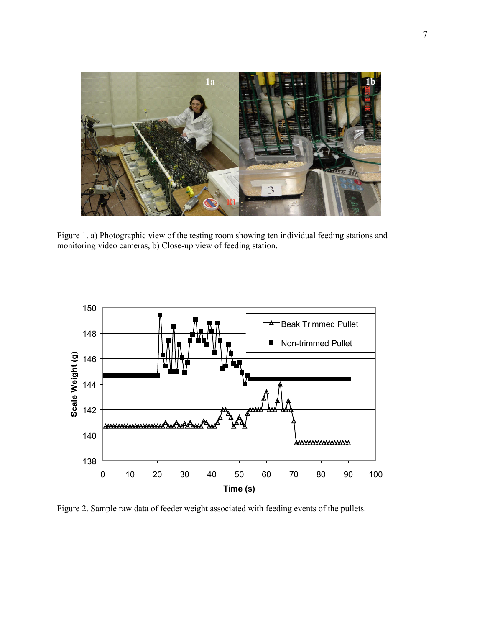

Figure 1. a) Photographic view of the testing room showing ten individual feeding stations and monitoring video cameras, b) Close-up view of feeding station.



Figure 2. Sample raw data of feeder weight associated with feeding events of the pullets.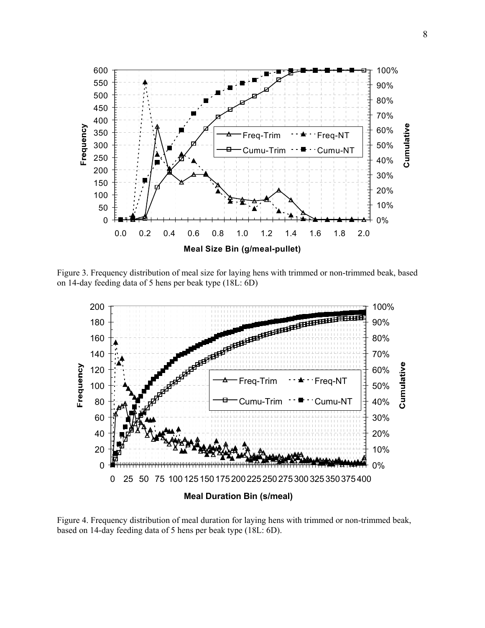

Figure 3. Frequency distribution of meal size for laying hens with trimmed or non-trimmed beak, based on 14-day feeding data of 5 hens per beak type (18L: 6D)



Figure 4. Frequency distribution of meal duration for laying hens with trimmed or non-trimmed beak, based on 14-day feeding data of 5 hens per beak type (18L: 6D).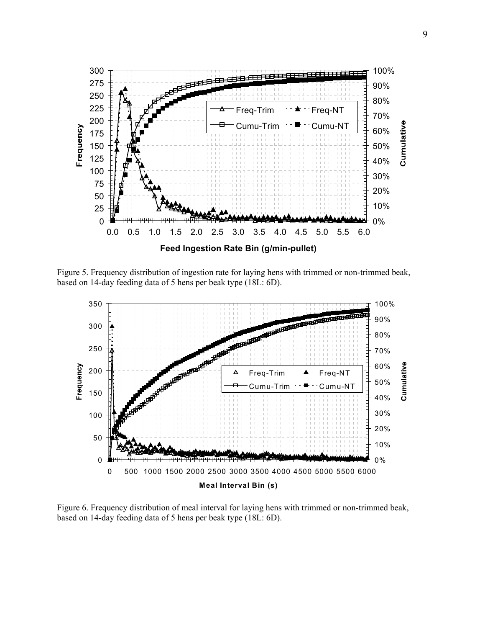

Figure 5. Frequency distribution of ingestion rate for laying hens with trimmed or non-trimmed beak, based on 14-day feeding data of 5 hens per beak type (18L: 6D).



Figure 6. Frequency distribution of meal interval for laying hens with trimmed or non-trimmed beak, based on 14-day feeding data of 5 hens per beak type (18L: 6D).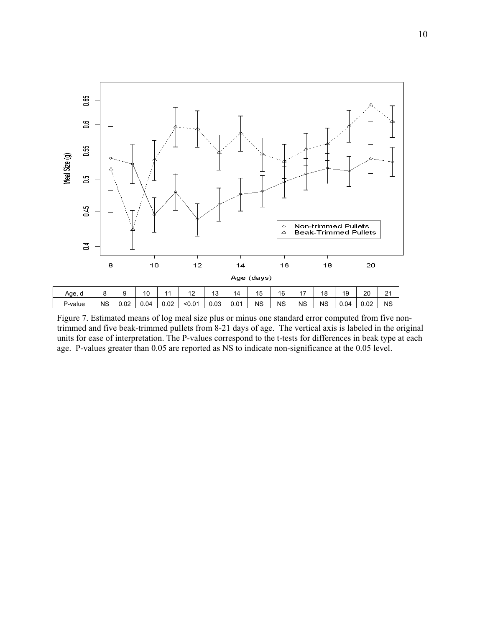

Figure 7. Estimated means of log meal size plus or minus one standard error computed from five nontrimmed and five beak-trimmed pullets from 8-21 days of age. The vertical axis is labeled in the original units for ease of interpretation. The P-values correspond to the t-tests for differences in beak type at each age. P-values greater than 0.05 are reported as NS to indicate non-significance at the 0.05 level.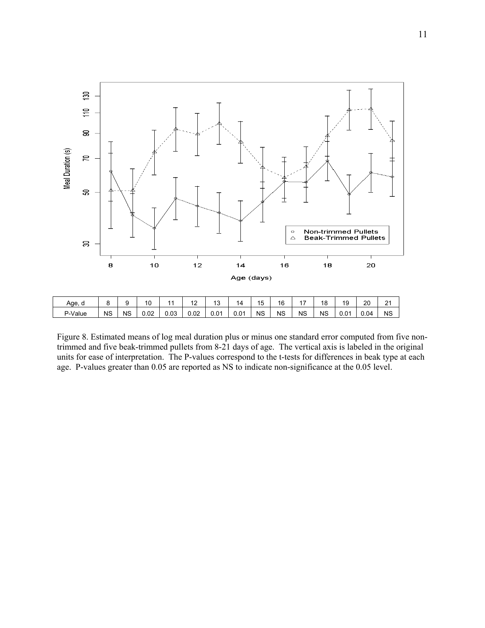

Figure 8. Estimated means of log meal duration plus or minus one standard error computed from five nontrimmed and five beak-trimmed pullets from 8-21 days of age. The vertical axis is labeled in the original units for ease of interpretation. The P-values correspond to the t-tests for differences in beak type at each age. P-values greater than 0.05 are reported as NS to indicate non-significance at the 0.05 level.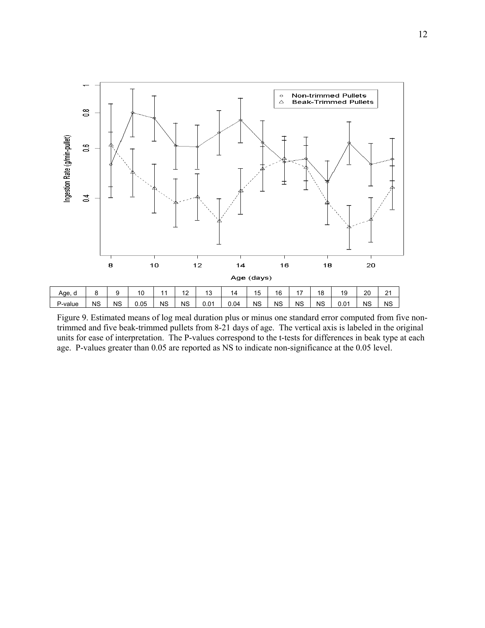

Figure 9. Estimated means of log meal duration plus or minus one standard error computed from five nontrimmed and five beak-trimmed pullets from 8-21 days of age. The vertical axis is labeled in the original units for ease of interpretation. The P-values correspond to the t-tests for differences in beak type at each age. P-values greater than 0.05 are reported as NS to indicate non-significance at the 0.05 level.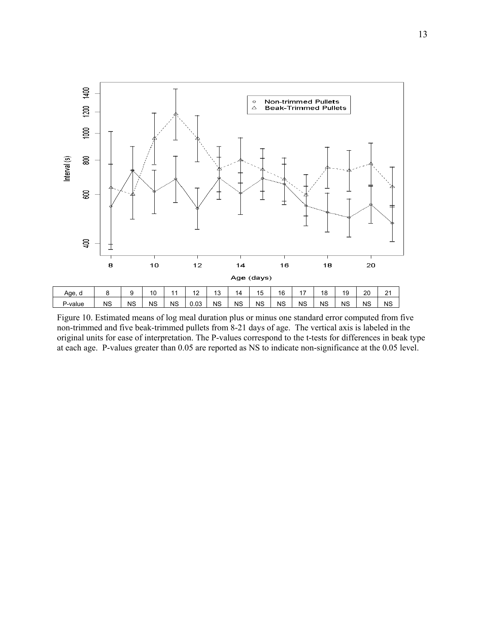

Figure 10. Estimated means of log meal duration plus or minus one standard error computed from five non-trimmed and five beak-trimmed pullets from 8-21 days of age. The vertical axis is labeled in the original units for ease of interpretation. The P-values correspond to the t-tests for differences in beak type at each age. P-values greater than 0.05 are reported as NS to indicate non-significance at the 0.05 level.